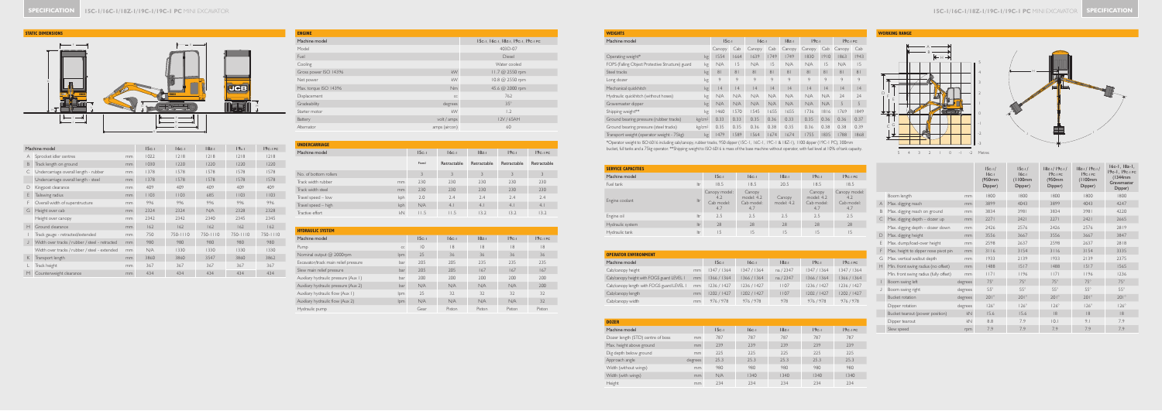|   | Machine model                                  |    | $15c-1$ | $16c-1$  | $18z-1$      | $19c-1$      | $19c-1PC$ |
|---|------------------------------------------------|----|---------|----------|--------------|--------------|-----------|
| A | Sprocket idler centres                         | mm | 1022    | 1218     | 2 8          | 2 8          | 218       |
| B | Track length on ground                         | mm | 1030    | 1220     | 1220         | 1220         | 1220      |
| C | Undercarriage overall length - rubber          | mm | 1378    | 1578     | 1578         | 1578         | 1578      |
|   | Undercarriage overall length - steel           | mm | 1378    | 1578     | 1578         | 1578         | 1578      |
| D | Kingpost clearance                             | mm | 409     | 409      | 409          | 409          | 409       |
| E | Tailswing radius                               | mm | 1103    | 1103     | 685          | 1103         | 1103      |
| F | Overall width of superstructure                | mm | 996     | 996      | 996          | 996          | 996       |
| G | Height over cab                                | mm | 2324    | 2324     | N/A          | 2328         | 2328      |
|   | Height over canopy                             | mm | 2342    | 2342     | 2340         | 2345         | 2345      |
| Н | Ground clearance                               | mm | 162     | 162      | 162          | 162          | 162       |
|   | Track gauge - retracted/extended               | mm | 750     | 750-1110 | $750 - 1110$ | $750 - 1110$ | 750-1110  |
| J | Width over tracks / rubber / steel - retracted | mm | 980     | 980      | 980          | 980          | 980       |
|   | Width over tracks / rubber / steel - extended  | mm | N/A     | 1330     | 1330         | 1330         | 1330      |
| K | Transport length                               | mm | 3860    | 3860     | 3547         | 3860         | 3862      |
|   | Track height                                   | mm | 367     | 367      | 367          | 367          | 367       |
| M | Counterweight clearance                        | mm | 434     | 434      | 434          | 434          | 434       |

| Machine model<br>15c-1, 16c-1, 18z-1, 19c-1, 19c-1 PC |  |
|-------------------------------------------------------|--|
|                                                       |  |
| Model<br>403D-07                                      |  |
| Fuel<br>Diesel                                        |  |
| Cooling<br>Water cooled                               |  |
| kW<br>Gross power ISO 14396<br>11.7 @ 2550 rpm        |  |
| kW<br>10.8 @ 2550 rpm<br>Net power                    |  |
| Max. torque ISO 14396<br>45.6 @ 2000 rpm<br>Nm        |  |
| 762<br>Displacement<br>CC                             |  |
| $35^\circ$<br>Gradeability<br>degrees                 |  |
| kW<br>1.2<br>Starter motor                            |  |
| volt / amps<br>12V / 65AH<br>Battery                  |  |
| amps (aircon)<br>60<br>Alternator                     |  |

| <b>UNDERCARRIAGE</b>  |     |         |             |             |             |             |
|-----------------------|-----|---------|-------------|-------------|-------------|-------------|
| Machine model         |     | $15c-1$ | $16c-1$     | $18z-1$     | $19c-1$     | $19c-1PC$   |
|                       |     | Fixed   | Retractable | Retractable | Retractable | Retractable |
| No. of bottom rollers |     | 3       | 3           | 3           | 3           | 3           |
| Track width rubber    | mm  | 230     | 230         | 230         | 230         | 230         |
| Track width steel     | mm  | 230     | 230         | 230         | 230         | 230         |
| Travel speed - low    | kph | 2.0     | 2.4         | 2.4         | 7.4         | 2.4         |
| Travel speed - high   | kph | N/A     | 4.1         | 4.1         | 4.1         | 4.1         |
| Tractive effort       | kN  | 11.5    | I I.5       | 13.2        | 13.2        | 13.2        |

| <b>HYDRAULIC SYSTEM</b>              |            |                 |         |         |         |             |
|--------------------------------------|------------|-----------------|---------|---------|---------|-------------|
| Machine model                        |            | $15c-1$         | $16c-1$ | $18z-1$ | $19c-1$ | $19c - 1PC$ |
| Pump                                 | CC         | $\overline{10}$ | 8       | 8       | 8       | 8           |
| Nominal output @ 2000rpm             | <b>lpm</b> | 25              | 36      | 36      | 36      | 36          |
| Excavator/track main relief pressure | bar        | 205             | 205     | 235     | 235     | 235         |
| Slew main relief pressure            | bar        | 205             | 205     | 167     | 167     | 167         |
| Auxiliary hydraulic pressure (Aux 1) | bar        | 200             | 200     | 200     | 200     | 200         |
| Auxiliary hydraulic pressure (Aux 2) | bar        | N/A             | N/A     | N/A     | N/A     | 200         |
| Auxiliary hydraulic flow (Aux 1)     | lpm        | 25              | 32      | 32      | 32      | 32          |
| Auxiliary hydraulic flow (Aux 2)     | lpm        | N/A             | N/A     | N/A     | N/A     | 32          |
| Hydraulic pump                       |            | Gear            | Piston  | Piston  | Piston  | Piston      |

# **SERVICE**<br>Machin

Engine

**OPERAT**<br>Machine<br>Cab/can

**DOZER**<br>
Dozer k<br>
Max. he<br>
Dig dep<br>
Approad<br>
Width (\<br>
Width (\<br>
Height





| <b>WEIGHTS</b>                                   |                    |                |      |         |      |                |         |      |           |                |
|--------------------------------------------------|--------------------|----------------|------|---------|------|----------------|---------|------|-----------|----------------|
| Machine model                                    |                    | $15c-1$        |      | $16c-1$ |      | $18z-1$        | $19c-1$ |      | $19c-1PC$ |                |
|                                                  |                    | Canopy         | Cab  | Canopy  | Cab  | Canopy         | Canopy  | Cab  | Canopy    | Cab            |
| Operating weight*                                | kg                 | 1554           | 1664 | 1639    | 1749 | 1749           | 1830    | 1910 | 1863      | 1943           |
| FOPS (Falling Object Protective Structure) guard | kg                 | N/A            | 15   | N/A     | 15   | N/A            | N/A     | 15   | N/A       | 15             |
| Steel tracks                                     | kg                 | 8 <sub>1</sub> | 81   | 81      | 81   | 8 <sup>1</sup> | 81      | 81   | 81        | 8 <sub>1</sub> |
| Long dozer                                       | kg                 | 9              | 9    | 9       | 9    | 9              | 9       | 9    | 9         | 9              |
| Mechanical quickhitch                            | kg                 | 4              | 4    | 4       | 4    | 4              | 4       | 4    | 4         | 4              |
| Hydraulic quickhitch (without hoses)             | kg                 | N/A            | N/A  | N/A     | N/A  | N/A            | N/A     | N/A  | 24        | 24             |
| Gravemaster dipper                               | kg                 | N/A            | N/A  | N/A     | N/A  | N/A            | N/A     | N/A  | 5         | 5              |
| Shipping weight**                                | kg                 | 1460           | 1570 | 1545    | 1655 | 655            | 1736    | 1816 | 1769      | 1849           |
| Ground bearing pressure (rubber tracks)          | kg/cm <sup>2</sup> | 0.33           | 0.33 | 0.35    | 0.36 | 0.33           | 0.35    | 0.36 | 0.36      | 0.37           |
| Ground bearing pressure (steel tracks)           | kg/cm <sup>2</sup> | 0.35           | 0.35 | 0.36    | 0.38 | 0.35           | 0.36    | 0.38 | 0.38      | 0.39           |
| Transport weight (operator weight - 75kg)        | kg                 | 1479           | 1589 | 1564    | 1674 | 674            | 1755    | 1835 | 1788      | 1868           |

\*Operator weight to ISO 6016 including cab/canopy, rubber tracks, 950 dipper (15C-1, 16C-1, 19C-1 & 18Z-1), 1100 dipper (19C-1 PC), 300mm

bucket, full tanks and a 75kg operator. \*\*Shipping weight to ISO 6016 is mass of the base machine without operator, with fuel level at 10% of tank capacity.

### **WORKING RANGE**

|   |                                        |         | $15c-1/$<br>$16c-1$<br>(950mm<br>Dipper) | $15c-1/$<br>$16c-1$<br>(1100mm)<br>Dipper) | $18z-1/19c-1/$<br>$19c-1PC$<br>(950mm<br>Dipper) | $18z-1/19c-1/$<br>$19c-1PC$<br>(1100mm)<br>Dipper) | $16c-1, 18z-1,$<br>19c-1, 19c-1 PC<br>(1344mm)<br>Gravemaster<br>Dipper) |
|---|----------------------------------------|---------|------------------------------------------|--------------------------------------------|--------------------------------------------------|----------------------------------------------------|--------------------------------------------------------------------------|
|   | Boom length                            | mm      | 1800                                     | 1800                                       | 1800                                             | 1800                                               | 1800                                                                     |
| A | Max. digging reach                     | mm      | 3899                                     | 4043                                       | 3899                                             | 4043                                               | 4247                                                                     |
| B | Max. digging reach on ground           | mm      | 3834                                     | 3981                                       | 3834                                             | 3981                                               | 4220                                                                     |
| C | Max. digging depth - dozer up          | mm      | 2271                                     | 2421                                       | 2271                                             | 2421                                               | 2665                                                                     |
|   | Max. digging depth - dozer down        | mm      | 2426                                     | 2576                                       | 2426                                             | 2576                                               | 2819                                                                     |
| D | Max. digging height                    | mm      | 3556                                     | 3667                                       | 3556                                             | 3667                                               | 3847                                                                     |
| E | Max. dump/load-over height             | mm      | 2598                                     | 2637                                       | 2598                                             | 2637                                               | 2818                                                                     |
| F | Max. height to dipper nose pivot pin   | mm      | $3116$                                   | 3154                                       | $3116$                                           | 3154                                               | 3335                                                                     |
| G | Max. vertical wallcut depth            | mm      | 1933                                     | 2139                                       | 1933                                             | 2139                                               | 2375                                                                     |
| Н | Min. front swing radius (no offset)    | mm      | 1488                                     | 1517                                       | 1488                                             | 1517                                               | 1565                                                                     |
|   | Min. front swing radius (fully offset) | mm      | 17                                       | 1196                                       | 17                                               | 1196                                               | 1236                                                                     |
|   | Boom swing left                        | degrees | $75^\circ$                               | $75^\circ$                                 | $75^\circ$                                       | $75^\circ$                                         | $75^\circ$                                                               |
|   | Boom swing right                       | degrees | $55^\circ$                               | $55^\circ$                                 | $55^{\circ}$                                     | $55^\circ$                                         | $55^\circ$                                                               |
|   | <b>Bucket rotation</b>                 | degrees | $201^\circ$                              | $201^\circ$                                | $201^\circ$                                      | $201^\circ$                                        | $201^\circ$                                                              |
|   | Dipper rotation                        | degrees | $126^\circ$                              | $126^\circ$                                | $126^\circ$                                      | $126^\circ$                                        | $126^\circ$                                                              |
|   | Bucket tearout (power position)        | kN      | 15.6                                     | 15.6                                       | 8                                                | 8                                                  | 8                                                                        |
|   | Dipper tearout                         | kN      | 8.8                                      | 7.9                                        | 0.1                                              | 9.1                                                | 7.9                                                                      |
|   | Slew speed                             | rpm     | 7.9                                      | 7.9                                        | 7.9                                              | 7.9                                                | 7.9                                                                      |



| <b>OPERATOR ENVIRONMENT</b>               |    |             |             |           |             |             |
|-------------------------------------------|----|-------------|-------------|-----------|-------------|-------------|
| Machine model                             |    | $15c-1$     | $16c-1$     | $18z-1$   | $19c-1$     | $19c - 1PC$ |
| Cab/canopy height                         | mm | 1347 / 1364 | 1347/1364   | na / 2347 | 1347 / 1364 | 1347 / 1364 |
| Cab/canopy height with FOGS guard LEVEL I | mm | 1366 / 1364 | 1366 / 1364 | na / 2347 | 1366 / 1364 | 1366 / 1364 |
| Cab/canopy length with FOGS guard LEVEL I | mm | 1236 / 1427 | 1236 / 1427 | 1107      | 1236 / 1427 | 1236 / 1427 |
| Cab/canopy length                         | mm | 1202 / 1427 | 1202 / 1427 | 1107      | 1202 / 1427 | 1202 / 1427 |
| Cab/canopy width                          | mm | 976/978     | 976/978     | 978       | 976/978     | 976/978     |

| <b>SERVICE CAPACITIES</b> |     |                                           |                                           |                      |                                           |                                           |
|---------------------------|-----|-------------------------------------------|-------------------------------------------|----------------------|-------------------------------------------|-------------------------------------------|
| Machine model             |     | $15c-1$                                   | $16c-1$                                   | $18z-1$              | $19c-1$                                   | $19c-1PC$                                 |
| Fuel tank                 | Itr | 18.5                                      | 18.5                                      | 20.5                 | 18.5                                      | 18.5                                      |
| Engine coolant            | Itr | Canopy model:<br>4.2<br>Cab model:<br>4.7 | Canopy<br>model: 4.2<br>Cab model:<br>4.7 | Canopy<br>model: 4.2 | Canopy<br>model: 4.2<br>Cab model:<br>4.7 | Canopy model:<br>4.2<br>Cab model:<br>4.7 |
| Engine oil                | Itr | 2.5                                       | 2.5                                       | 2.5                  | 2.5                                       | 2.5                                       |
| Hydraulic system          | Itr | 28                                        | 28                                        | 28                   | 28                                        | 28                                        |
| Hydraulic tank            | Itr | 15                                        | 15                                        | 15                   | 15                                        | 15                                        |



| <b>DOZER</b>                      |         |         |         |         |         |           |
|-----------------------------------|---------|---------|---------|---------|---------|-----------|
| Machine model                     |         | $15c-1$ | $16c-1$ | $18z-1$ | $19c-1$ | $19c-1PC$ |
| Dozer length (STD) centre of boss | mm      | 787     | 787     | 787     | 787     | 787       |
| Max. height above ground          | mm      | 239     | 239     | 239     | 239     | 239       |
| Dig depth below ground            | mm      | 225     | 225     | 225     | 225     | 225       |
| Approach angle                    | degrees | 25.3    | 25.3    | 25.3    | 25.3    | 25.3      |
| Width (without wings)             | mm      | 980     | 980     | 980     | 980     | 980       |
| Width (with wings)                | mm      | N/A     | 1340    | 1340    | 1340    | 1340      |
| Height                            | mm      | 234     | 234     | 234     | 234     | 234       |
|                                   |         |         |         |         |         |           |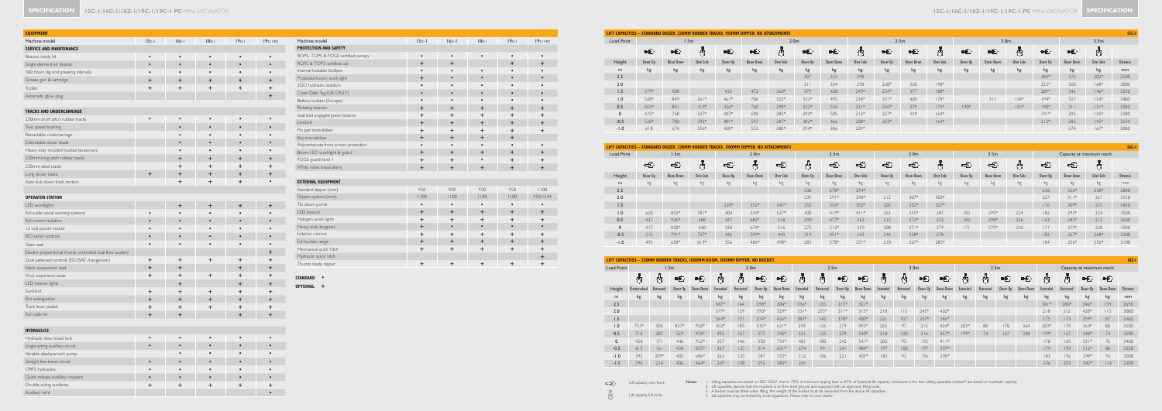Notes: I. Lifting capacities are based on ISO 10567, that is: 75% of minimum tipping load or 87% of hydraulic lift capacity, whichever is the less. Lifting capacities marked\* are based on hydraulic capacity.<br>2. Lift capaci

Lift capacity full circle.

## **SPECIFICATION** | **ISC-1/16C-1/18Z-1/19C-1/19C-1 PC** MINI EXCAVATOR

| <b>EQUIPMENT</b>                                         |           |             |           |             |                      |                                 |
|----------------------------------------------------------|-----------|-------------|-----------|-------------|----------------------|---------------------------------|
| Machine model                                            | $15c-1$   | $16c-1$     | $18z-1$   | $19c-1$     | 19 <sub>C-1</sub> PC | Machine mode                    |
| <b>SERVICE AND MAINTENANCE</b>                           |           |             |           |             |                      | <b>PROTECTION A</b>             |
| Beacon ready kit                                         | $\bullet$ | $\bullet$   | $\bullet$ | $\bullet$   | $\bullet$            | ROPS, TOPS &                    |
| Single element air cleaner                               | $\bullet$ | $\bullet$   | $\bullet$ | $\bullet$   | $\bullet$            | <b>ROPS &amp; TOPS</b>          |
| 500 hours dig end greasing intervals                     | $\bullet$ | $\bullet$   | $\bullet$ | $\bullet$   | $\bullet$            | Internal lockabl                |
| Grease gun & cartridge                                   | $\ddot{}$ | $\ddot{}$   | $\ddot{}$ | $\ddot{}$   | $\ddot{}$            | Protected boor                  |
| <b>Toolkit</b>                                           | $\ddot{}$ | $\ddot{}$   | $\ddot{}$ | $\ddot{}$   | $\ddot{}$            | 2GO hydraulic                   |
| Automatic glow plug                                      |           |             |           |             | $\ddot{}$            | Cesar Data Tag                  |
|                                                          |           |             |           |             |                      | Battery isolator                |
| <b>TRACKS AND UNDERCARRIAGE</b>                          |           |             |           |             |                      | Rotating beacor                 |
| 230mm short pitch rubber tracks                          |           | $\bullet$   | $\bullet$ |             |                      | Seat belt engag                 |
| Two speed tracking                                       |           | $\bullet$   | $\bullet$ |             |                      | LiveLink                        |
| Retractable undercarriage                                |           | $\bullet$   | $\bullet$ |             |                      | Pin pad immob<br>Key immobilise |
| Extendable dozer blade                                   |           | $\bullet$   | $\bullet$ | $\bullet$   |                      | Polycarbonate f                 |
| Heavy duty recoiled tracked tensioners                   |           | $\bullet$   | $\bullet$ | $\bullet$   |                      | Boom LED wo                     |
| 230mm long pitch rubber tracks                           |           | $\pm$       | $\pm$     | $\pm$       | $\ddot{}$            | FOGS guard let                  |
| 230mm steel tracks                                       |           | $\ddot{}$   | +         | $\ddot{}$   | $\ddot{}$            | White noise tra                 |
| Long dozer blade                                         |           | $\ddot{}$   | $\pm$     | $\ddot{}$   | $\ddot{}$            |                                 |
| Auto kick down track motors                              |           | $\ddot{}$   | $\ddot{}$ | $\ddot{}$   | $\bullet$            | <b>EXTERNAL EQU</b>             |
|                                                          |           |             |           |             |                      | Standard dippe                  |
| <b>OPERATOR STATION</b>                                  |           |             |           |             |                      | Dipper options                  |
| LED worklights                                           |           | $\mathbf +$ | $\pm$     | $\mathbf +$ | +                    | Tie down point                  |
| Full audio visual warning systems                        |           |             |           |             |                      | LED beacon                      |
| Full control isolation                                   |           |             | $\bullet$ |             |                      | Halogen work                    |
| 12 volt power socket                                     |           |             |           |             |                      | Heavy duty king                 |
| ISO servo controls                                       |           |             | $\bullet$ |             |                      | Exterior mirror                 |
| Static seat                                              |           | $\bullet$   | $\bullet$ | $\bullet$   |                      | Full bucket rang                |
| Electro-proportional thumb controlled dual flow auxilary |           |             |           |             | +                    | Mechanical quio                 |
| Dual pattened controls (ISO/SAE changeover)              | $\ddot{}$ | $\,{}^+$    | $\ddot{}$ | +           | $\pmb{+}$            | Hydraulic quick                 |
| Fabric suspension seat                                   | $\ddot{}$ | $\pm$       |           | $\ddot{}$   | $\ddot{}$            | Thumb ready o                   |
| Vinyl suspension seats                                   | $\ddot{}$ | $\pmb{+}$   | $\ddot{}$ | $\pm$       | $\ddot{}$            |                                 |
| LED interior lights                                      |           | $\ddot{}$   |           | $\ddot{}$   | $\ddot{}$            | <b>STANDARD</b>                 |
| Sunblind                                                 | $\ddot{}$ | $\ddot{}$   | $\ddot{}$ | $\ddot{}$   | $\ddot{}$            | <b>OPTIONAL</b><br>$\pm$        |
| Fire extinguisher                                        | $\ddot{}$ | $\pm$       | $\ddot{}$ | $\ddot{}$   | $\ddot{}$            |                                 |
| Track lever pedals                                       | $\ddot{}$ | $\ddot{}$   | +         | $\ddot{}$   | $\ddot{}$            |                                 |
| Full radio kit                                           | $\pmb{+}$ | $\ddot{}$   |           | $\ddot{}$   | $\ddot{}$            |                                 |

| <b>HYDRAULICS</b>                |           |  |   |  |
|----------------------------------|-----------|--|---|--|
| Hydraulic slew travel lock       |           |  | ٠ |  |
| Single acting auxillary circuit  |           |  | ٠ |  |
| Variable displacement pump       |           |  |   |  |
| Straight line travel circuit     |           |  |   |  |
| ORFS hydraulics                  |           |  |   |  |
| Quick release auxillary couplers | $\bullet$ |  | ٠ |  |
| Double acting auxilaries         |           |  |   |  |
| Auxiliary vent                   |           |  |   |  |

| Machine model                         | $ 5c-1 $  | $ 6c- $   | $18z-1$   | $19c-1$   | $19c-1PC$ |
|---------------------------------------|-----------|-----------|-----------|-----------|-----------|
| <b>PROTECTION AND SAFETY</b>          |           |           |           |           |           |
| ROPS, TOPS & FOGS certified canopy    | $\bullet$ | $\bullet$ | $\bullet$ | $\bullet$ |           |
| ROPS & TOPS certified cab             | $+$       | $+$       |           | $\ddot{}$ | $+$       |
| Internal lockable toolbox             |           |           | $\bullet$ |           |           |
| Protected boom work light             | $\ddot{}$ | $\bullet$ | $\bullet$ |           |           |
| 2GO hydraulic isolation               | $\bullet$ | $\bullet$ |           |           |           |
| Cesar Data Tag (UK ONLY)              | $\bullet$ | $\bullet$ | $\bullet$ | $\bullet$ |           |
| Battery isolator (Europe)             |           |           |           |           |           |
| Rotating beacon                       | $+$       | $+$       | $\ddot{}$ | $\ddot{}$ | $\div$    |
| Seat belt engaged green beacon        | $\ddot{}$ | $+$       | $\ddot{}$ | $\ddot{}$ | $\div$    |
| LiveLink                              | $+$       | $+$       | $+$       | $\ddot{}$ | $\ddot{}$ |
| Pin pad immobiliser                   | $+$       | $+$       | $\ddot{}$ | +         | $\ddot{}$ |
| Key immobiliser                       | $+$       | $+$       | $\ddot{}$ | $\ddot{}$ |           |
| Polycarbonate front screen protection | $\bullet$ | ٠         |           |           |           |
| Boom LED worklight & guard            | $+$       | $+$       | $\ddot{}$ | $+$       | $+$       |
| FOGS guard level 1                    | $+$       | $+$       | $\bullet$ | $\ddot{}$ | $\ddot{}$ |
| White noise travel alarm              | $+$       | $+$       | $\ddot{}$ | $\ddot{}$ | $\ddot{}$ |
|                                       |           |           |           |           |           |
| <b>EXTERNAL EQUIPMENT</b>             |           |           |           |           |           |
| Standard dipper (mm)                  | 950       | 950       | 950       | 950       | 1100      |
| Dipper options (mm)                   | 1100      | 1100      | 1100      | 1100      | 950/1344  |
| Tie down points                       | $\bullet$ | $\bullet$ | $\bullet$ | $\bullet$ |           |
| LED beacon                            | $+$       | $+$       | $\ddot{}$ | $\ddot{}$ | $+$       |
| Halogen work lights                   | $+$       | $\ddot{}$ | $\ddot{}$ | +         | $\ddot{}$ |
| Heavy duty kingpost                   | $+$       | $\bullet$ | $\bullet$ | $\bullet$ | $\bullet$ |
| Exterior mirrors                      | $+$       | $+$       | $\ddot{}$ | $\ddot{}$ | $\div$    |
| Full bucket range                     | $+$       | $\ddot{}$ | $\ddot{}$ | $\ddot{}$ | $\ddot{}$ |
| Mechanical quick hitch                | $+$       | $+$       | $\ddot{}$ | $\ddot{}$ | $\pm$     |
| Hydraulic quick hitch                 |           |           |           |           | $\ddot{}$ |
| Thumb ready dipper                    | $\ddot{}$ | $+$       | $\ddot{}$ | $\ddot{}$ | $\ddot{}$ |
|                                       |           |           |           |           |           |

|                   | LIFT CAPACITIES - STANDARD DOZER.<br>. 230MM RUBBER TRACKS. 950MM DIPPER. NO ATTACHMENTS. |            |                  |          |            |           |                  |                   |           |          |                  |           |          |                  |           |          | $15C-1$           |                  |                 |
|-------------------|-------------------------------------------------------------------------------------------|------------|------------------|----------|------------|-----------|------------------|-------------------|-----------|----------|------------------|-----------|----------|------------------|-----------|----------|-------------------|------------------|-----------------|
| <b>Load Point</b> |                                                                                           |            | 1.5 <sub>m</sub> |          |            |           | 2.0 <sub>m</sub> |                   |           |          | 2.5 <sub>m</sub> |           |          | 3.0 <sub>m</sub> |           |          |                   | 3.5 <sub>m</sub> |                 |
|                   | 臣                                                                                         | 电          | 鼎                | 电        | 电          | 鼎         | 电                | 中                 | 吿         | 电        | 电                | 鼎         | 电        | 电                | 枵         | 中        | 电                 | 鼎                |                 |
| Height            | Dozer Up                                                                                  | Dozer Down | Over Side        | Dozer Up | Dozer Down | Over Side | Dozer Up         | <b>Dozer Down</b> | Over Side | Dozer Up | Dozer Down       | Over Side | Dozer Up | Dozer Down       | Over Side | Dozer Up | <b>Dozer Down</b> | Over Side        | <b>Distance</b> |
| m                 | kg                                                                                        | kg         | kg               | kg       | kg         | kg        | kg               | kg                | kg        | kg       | kg               | kg        | kg       | kg               | kg        | kg       | kg                | kg               | mm              |
| 2.5               |                                                                                           |            |                  |          |            |           | 307              | 323               | 298       |          |                  |           |          |                  |           | 284*     | 372               | $202*$           | 2500            |
| 2.0               |                                                                                           |            |                  |          |            |           | 311              | 334               | 298       | $260*$   | 360              | $190*$    |          |                  |           | $232*$   | 360               | $168*$           | 3000            |
| 1.5               | 379*                                                                                      | 508        |                  | 432      | 472        | 360*      | 379              | 420               | 249*      | 254*     | 377              | $188*$    |          |                  |           | 209*     | 346               | $146*$           | 3250            |
| 0.1               | 528*                                                                                      | 849        | $361*$           | $461*$   | 706        | 323*      | $323*$           | 495               | 234*      | $251*$   | 405              | $178*$    |          | 311              | $134*$    | $194*$   | 327               | $134*$           | 3400            |
| 0.5               | 465*                                                                                      | 841        | $319*$           | $426*$   | 760        | 298*      | $322*$           | 556               | $221*$    | $236*$   | 379              | $173*$    | $190*$   |                  | $135*$    | $190*$   | 311               | $ 3 $ *          | 3300            |
| $\Omega$          | 475*                                                                                      | 768        | $327*$           | 407*     | 690        | 285*      | 294*             | 505               | $213*$    | $227*$   | 339              | $164*$    |          |                  |           | $ 9 $ *  | 292               | $135*$           | 3300            |
| $-0.5$            | 528*                                                                                      | 700        | 392*             | $401*$   | 597        | 287*      | $302*$           | 466               | 208*      | $233*$   |                  | $164*$    |          |                  |           | $212*$   | 282               | $145*$           | 3250            |
| $-1.0$            | 618                                                                                       | 674        | 356*             | 420*     | 552        | 280*      | 294*             | 386               | 209*      |          |                  |           |          |                  |           |          | 274               | $167*$           | 3000            |
|                   |                                                                                           |            |                  |          |            |           |                  |                   |           |          |                  |           |          |                  |           |          |                   |                  |                 |

|                   | LIFT CAPACITIES - STANDARD DOZER. 230MM RUBBER TRACKS. 1100MM DIPPER. NO ATTACHMENTS |                  |           |          |                  |           |          |                  |           |                  |                   |           |          |                  |           | $16C - 1$ |            |                           |          |
|-------------------|--------------------------------------------------------------------------------------|------------------|-----------|----------|------------------|-----------|----------|------------------|-----------|------------------|-------------------|-----------|----------|------------------|-----------|-----------|------------|---------------------------|----------|
| <b>Load Point</b> |                                                                                      | 1.5 <sub>m</sub> |           |          | 2.0 <sub>m</sub> |           |          | 2.5 <sub>m</sub> |           | 3.0 <sub>m</sub> |                   |           |          | 3.5 <sub>m</sub> |           |           |            | Capacity at maximum reach |          |
|                   | 臣                                                                                    | 电                | 典         | 电        | 鼎                | -5        | 鼎        | 电                | 电         | 中                | 电                 |           | 电        | 电                | 巷         | 电         | 电          | 뭐                         |          |
| Height            | Dozer Up                                                                             | Dozer Down       | Over Side | Dozer Up | Dozer Down       | Over Side | Dozer Up | Dozer Down       | Over Side | Dozer Up         | <b>Dozer Down</b> | Over Side | Dozer Up | Dozer Down       | Over Side | Dozer Up  | Dozer Down | Over Side                 | Distance |
| m                 | kg                                                                                   | kg               | kg        | kg       | kg               | kg        | kg       | kg               | kg        | kg               | kg                | kg        | kg       | kg               | kg        | kg        | kg         | kg                        | mm       |
| 2.5               |                                                                                      |                  |           |          |                  |           | 230      | 278*             | 294*      |                  |                   |           |          |                  |           | 238       | 326*       | 328*                      | 2800     |
| 2.0               |                                                                                      |                  |           |          |                  |           | 239      | $291*$           | 298*      | 212              | 307*              | $303*$    |          |                  |           | 227       | $311*$     | 261                       | 3250     |
| 1.5               |                                                                                      |                  |           | 330*     | 352*             | 347*      | 255      | 356*             | 352*      | 203              | 332*              | 327*      |          |                  |           | 176       | 309*       | 235                       | 3450     |
| 1.0               | 620                                                                                  | 832*             | 781*      | 404      | 534*             | 527*      | 300      | $419*$           | $4   *$   | 263              | 355*              | 287       | 182      | 295*             | 224       | 182       | 295*       | 224                       | 3500     |
| 0.5               | 437                                                                                  | $926*$           | 688       | 347      | 682*             | 518       | 290      | 477*             | 363       | 215              | 372*              | 272       | 182      | 298*             | 226       | 163       | 283*       | 212                       | 3600     |
| $\mathbf 0$       | 417                                                                                  | 830*             | 640       | 330      | $674*$           | 516       | 275      | $512*$           | 359       | 200              | $371*$            | 279       | 7        | 279*             | 230       | 7         | 279*       | 230                       | 3500     |
| $-0.5$            | 512                                                                                  | 791*             | 737*      | 446      | 599*             | 443       | 319      | $451*$           | 343       | 244              | 338*              | 278       |          |                  |           | 182       | 267*       | 268*                      | 3300     |
| $-1.0$            | 493                                                                                  | 658*             | $619*$    | 356      | 486*             | 498*      | 285      | 378*             | $371*$    | 210              | $267*$            | 285*      |          |                  |           | 84        | 256*       | 256*                      | 3100     |

巷

| <b>Load Point</b> |          | 1.5 <sub>m</sub> |          |            |          | 2.0 <sub>m</sub> |          |            |                 |           | 2.5 <sub>m</sub> |            |          | 3.0 <sub>m</sub> |          |            |          |           | 3.5 <sub>m</sub> |            | Capacity at maximum reach |           |          |            |                 |
|-------------------|----------|------------------|----------|------------|----------|------------------|----------|------------|-----------------|-----------|------------------|------------|----------|------------------|----------|------------|----------|-----------|------------------|------------|---------------------------|-----------|----------|------------|-----------------|
|                   |          | 專                | 电        | 电          | 專        | 專                | 电        | 电          | 專               | 鼎         | 电                | 电          |          | 鼎                | 电        | 电          | 央        | 品         | 电                | 电          | 鼎                         | 朵         | 电        | 电          |                 |
| Height            | Extended | Retracted        | Dozer Up | Dozer Down | Extended | Retracted        | Dozer Up | Dozer Down | <b>Extended</b> | Retracted | Dozer Up         | Dozer Down | Extended | Retracted        | Dozer Up | Dozer Down | Extended | Retracted | Dozer Up         | Dozer Down | Extended                  | Retracted | Dozer Up | Dozer Down | <b>Distance</b> |
| m                 | kg       | kg               | kg       | kg         | kg       | kg               | kg       | kg         | kg              | kg        | kg               | kg         | kg       | kg               | kg       | kg         | kg       | kg        | kg               | kg         | kg                        | kg        | kg       | kg         | mm              |
| 2.5               |          |                  |          |            | 387*     | 164              | 398*     | $304*$     | 336*            | 155       | $313*$           | $351*$     |          |                  |          |            |          |           |                  |            | $301*$                    | 280*      | 346*     | 139        | 2690            |
| 2.0               |          |                  |          |            | 379*     | 159              | 390*     | 329*       | $331*$          | 255*      | $311*$           | $315*$     | 218      | 115              | $245*$   | 420*       |          |           |                  |            | 218                       | 212       | 420*     | 115        | 3000            |
| 1.5               |          |                  |          |            | $364*$   | 5                | 374*     | 426*       | 383*            | 43        | 370*             | 400*       | 221      | 107              | 257*     | 386*       |          |           |                  |            | 175                       | 173       | 359*     | 87         | 3300            |
| 1.0               | $751*$   | 305              | 827*     | 950*       | 452*     | 185              | 535*     | $621*$     | 293             | 136       | 279              | 492*       | 263      | 97               | 215      | 424*       | 203*     | 80        | 170              | 364        | $203*$                    | 170       | 364*     | 80         | 3500            |
| 0.5               | 714      | 207              | 529      | 976*       | 492      | 167              | 377      | 742*       | 321             | 123       | 279              | 540*       | 218      | 100              | 216      | 437*       | $199*$   | 74        | 167              | 348        | $199*$                    | 167       | 348*     | 74         | 3500            |
| $\mathbf 0$       | 458      | 7                | 446      | 932*       | 357      | 146              | 350      | 733*       | 401             | 100       | 242              | $541*$     | 202      | 95               | 195      | $4   *$    |          |           |                  |            | 170                       | 165       | $331*$   | 76         | 3400            |
| $-0.5$            | 615      | 6                | 438      | 835*       | 327      | 125              | 314      | $631*$     | 274             | 99        | 241              | 484*       | 197      | 100              | 197      | 359*       |          |           |                  |            | 179                       | 193       | $312*$   | 86         | 3250            |
| $-1.0$            | 392      | 209*             | 402      | 686*       | 263      | 125              | 287      | 555*       | 212             | 106       | 221              | 403*       | 83       | 92               | 196      | 298*       |          |           |                  |            | 83                        | 196       | 298*     | 92         | 3000            |
| $-1.5$            | 396      | 214              | 406      | 464*       | 269      | 128              | 292      | 383*       | 269             |           |                  |            |          |                  |          |            |          |           |                  |            | 236                       | 255       | 342*     | $ $  4     | 2200            |